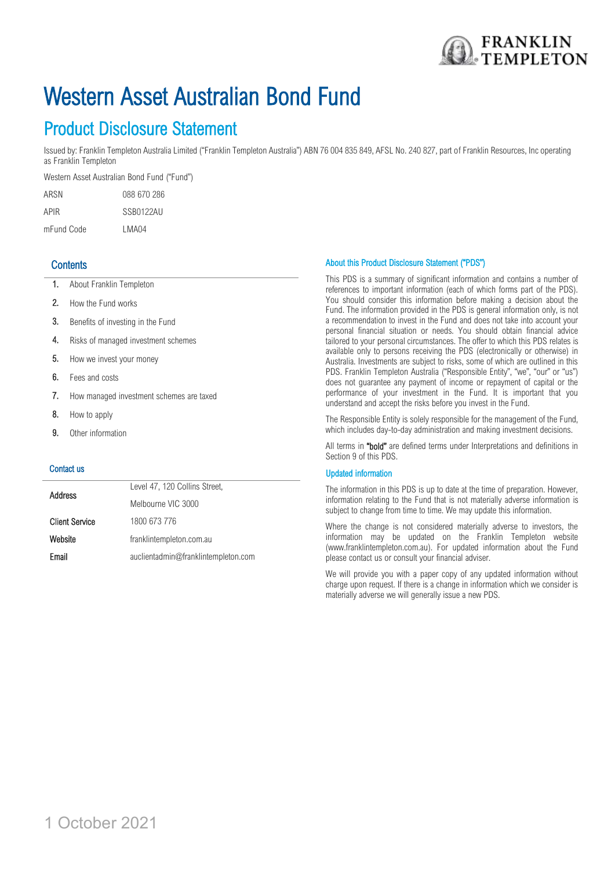

# Western Asset Australian Bond Fund

## Product Disclosure Statement

Issued by: Franklin Templeton Australia Limited ("Franklin Templeton Australia") ABN 76 004 835 849, AFSL No. 240 827, part of Franklin Resources, Inc operating as Franklin Templeton

Western Asset Australian Bond Fund ("Fund")

| ARSN       | 088 670 286 |
|------------|-------------|
| APIR       | SSB0122AU   |
| mFund Code | LMA04       |

### **Contents**

- 1. About Franklin Templeton
- 2. How the Fund works
- 3. Benefits of investing in the Fund
- 4. Risks of managed investment schemes
- 5. How we invest your money
- 6. Fees and costs
- 7. How managed investment schemes are taxed
- 8. How to apply
- 9. Other information

#### Contact us

| <b>Address</b>        | Level 47, 120 Collins Street,       |
|-----------------------|-------------------------------------|
|                       | Melbourne VIC 3000                  |
| <b>Client Service</b> | 1800 673 776                        |
| Website               | franklintempleton.com.au            |
| Email                 | auclientadmin@franklintempleton.com |

#### About this Product Disclosure Statement ("PDS")

This PDS is a summary of significant information and contains a number of references to important information (each of which forms part of the PDS). You should consider this information before making a decision about the Fund. The information provided in the PDS is general information only, is not a recommendation to invest in the Fund and does not take into account your personal financial situation or needs. You should obtain financial advice tailored to your personal circumstances. The offer to which this PDS relates is available only to persons receiving the PDS (electronically or otherwise) in Australia. Investments are subject to risks, some of which are outlined in this PDS. Franklin Templeton Australia ("Responsible Entity", "we", "our" or "us") does not guarantee any payment of income or repayment of capital or the performance of your investment in the Fund. It is important that you understand and accept the risks before you invest in the Fund.

The Responsible Entity is solely responsible for the management of the Fund, which includes day-to-day administration and making investment decisions.

All terms in "bold" are defined terms under Interpretations and definitions in Section 9 of this PDS.

#### Updated information

The information in this PDS is up to date at the time of preparation. However, information relating to the Fund that is not materially adverse information is subject to change from time to time. We may update this information.

Where the change is not considered materially adverse to investors, the information may be updated on the Franklin Templeton website (www.franklintempleton.com.au). For updated information about the Fund please contact us or consult your financial adviser.

We will provide you with a paper copy of any updated information without charge upon request. If there is a change in information which we consider is materially adverse we will generally issue a new PDS.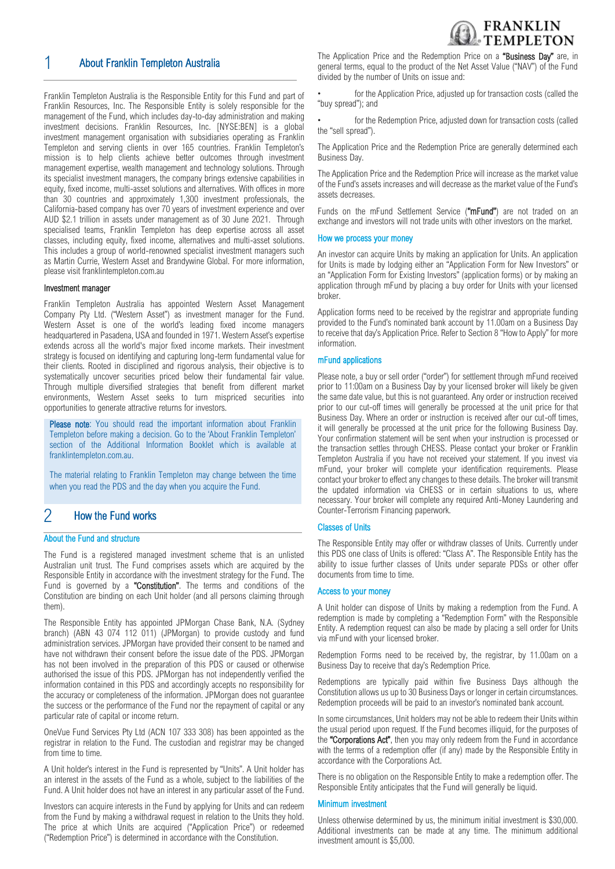

## 1 About Franklin Templeton Australia

Franklin Templeton Australia is the Responsible Entity for this Fund and part of Franklin Resources, Inc. The Responsible Entity is solely responsible for the management of the Fund, which includes day-to-day administration and making investment decisions. Franklin Resources, Inc. [NYSE:BEN] is a global investment management organisation with subsidiaries operating as Franklin Templeton and serving clients in over 165 countries. Franklin Templeton's mission is to help clients achieve better outcomes through investment management expertise, wealth management and technology solutions. Through its specialist investment managers, the company brings extensive capabilities in equity, fixed income, multi-asset solutions and alternatives. With offices in more than 30 countries and approximately 1,300 investment professionals, the California-based company has over 70 years of investment experience and over AUD \$2.1 trillion in assets under management as of 30 June 2021. Through specialised teams, Franklin Templeton has deep expertise across all asset classes, including equity, fixed income, alternatives and multi-asset solutions. This includes a group of world-renowned specialist investment managers such as Martin Currie, Western Asset and Brandywine Global. For more information, please visit franklintempleton.com.au

#### Investment manager

Franklin Templeton Australia has appointed Western Asset Management Company Pty Ltd. ("Western Asset") as investment manager for the Fund. Western Asset is one of the world's leading fixed income managers headquartered in Pasadena, USA and founded in 1971. Western Asset's expertise extends across all the world's major fixed income markets. Their investment strategy is focused on identifying and capturing long-term fundamental value for their clients. Rooted in disciplined and rigorous analysis, their objective is to systematically uncover securities priced below their fundamental fair value. Through multiple diversified strategies that benefit from different market environments, Western Asset seeks to turn mispriced securities into opportunities to generate attractive returns for investors.

Please note: You should read the important information about Franklin Templeton before making a decision. Go to the 'About Franklin Templeton' section of the Additional Information Booklet which is available at [franklintempleton.com.au.](http://www.leggmason.com.au/en/index.aspx)

The material relating to Franklin Templeton may change between the time when you read the PDS and the day when you acquire the Fund.

## 2 How the Fund works

#### About the Fund and structure

The Fund is a registered managed investment scheme that is an unlisted Australian unit trust. The Fund comprises assets which are acquired by the Responsible Entity in accordance with the investment strategy for the Fund. The Fund is governed by a "Constitution". The terms and conditions of the Constitution are binding on each Unit holder (and all persons claiming through them).

The Responsible Entity has appointed JPMorgan Chase Bank, N.A. (Sydney branch) (ABN 43 074 112 011) (JPMorgan) to provide custody and fund administration services. JPMorgan have provided their consent to be named and have not withdrawn their consent before the issue date of the PDS. JPMorgan has not been involved in the preparation of this PDS or caused or otherwise authorised the issue of this PDS. JPMorgan has not independently verified the information contained in this PDS and accordingly accepts no responsibility for the accuracy or completeness of the information. JPMorgan does not guarantee the success or the performance of the Fund nor the repayment of capital or any particular rate of capital or income return.

OneVue Fund Services Pty Ltd (ACN 107 333 308) has been appointed as the registrar in relation to the Fund. The custodian and registrar may be changed from time to time.

A Unit holder's interest in the Fund is represented by "Units". A Unit holder has an interest in the assets of the Fund as a whole, subject to the liabilities of the Fund. A Unit holder does not have an interest in any particular asset of the Fund.

Investors can acquire interests in the Fund by applying for Units and can redeem from the Fund by making a withdrawal request in relation to the Units they hold. The price at which Units are acquired ("Application Price") or redeemed ("Redemption Price") is determined in accordance with the Constitution.

The Application Price and the Redemption Price on a "Business Day" are, in general terms, equal to the product of the Net Asset Value ("NAV") of the Fund divided by the number of Units on issue and:

for the Application Price, adjusted up for transaction costs (called the "buy spread"); and

for the Redemption Price, adjusted down for transaction costs (called the "sell spread").

The Application Price and the Redemption Price are generally determined each Business Day.

The Application Price and the Redemption Price will increase as the market value of the Fund's assets increases and will decrease as the market value of the Fund's assets decreases.

Funds on the mFund Settlement Service ("mFund") are not traded on an exchange and investors will not trade units with other investors on the market.

#### How we process your money

An investor can acquire Units by making an application for Units. An application for Units is made by lodging either an "Application Form for New Investors" or an "Application Form for Existing Investors" (application forms) or by making an application through mFund by placing a buy order for Units with your licensed broker.

Application forms need to be received by the registrar and appropriate funding provided to the Fund's nominated bank account by 11.00am on a Business Day to receive that day's Application Price. Refer to Section 8 "How to Apply" for more information.

#### mFund applications

Please note, a buy or sell order ("order") for settlement through mFund received prior to 11:00am on a Business Day by your licensed broker will likely be given the same date value, but this is not guaranteed. Any order or instruction received prior to our cut-off times will generally be processed at the unit price for that Business Day. Where an order or instruction is received after our cut-off times, it will generally be processed at the unit price for the following Business Day. Your confirmation statement will be sent when your instruction is processed or the transaction settles through CHESS. Please contact your broker or Franklin Templeton Australia if you have not received your statement. If you invest via mFund, your broker will complete your identification requirements. Please contact your broker to effect any changes to these details. The broker will transmit the updated information via CHESS or in certain situations to us, where necessary. Your broker will complete any required Anti-Money Laundering and Counter-Terrorism Financing paperwork.

#### Classes of Units

The Responsible Entity may offer or withdraw classes of Units. Currently under this PDS one class of Units is offered: "Class A". The Responsible Entity has the ability to issue further classes of Units under separate PDSs or other offer documents from time to time.

#### Access to your money

A Unit holder can dispose of Units by making a redemption from the Fund. A redemption is made by completing a "Redemption Form" with the Responsible Entity. A redemption request can also be made by placing a sell order for Units via mFund with your licensed broker.

Redemption Forms need to be received by, the registrar, by 11.00am on a Business Day to receive that day's Redemption Price.

Redemptions are typically paid within five Business Days although the Constitution allows us up to 30 Business Days or longer in certain circumstances. Redemption proceeds will be paid to an investor's nominated bank account.

In some circumstances, Unit holders may not be able to redeem their Units within the usual period upon request. If the Fund becomes illiquid, for the purposes of the "Corporations Act", then you may only redeem from the Fund in accordance with the terms of a redemption offer (if any) made by the Responsible Entity in accordance with the Corporations Act.

There is no obligation on the Responsible Entity to make a redemption offer. The Responsible Entity anticipates that the Fund will generally be liquid.

#### Minimum investment

Unless otherwise determined by us, the minimum initial investment is \$30,000. Additional investments can be made at any time. The minimum additional investment amount is \$5,000.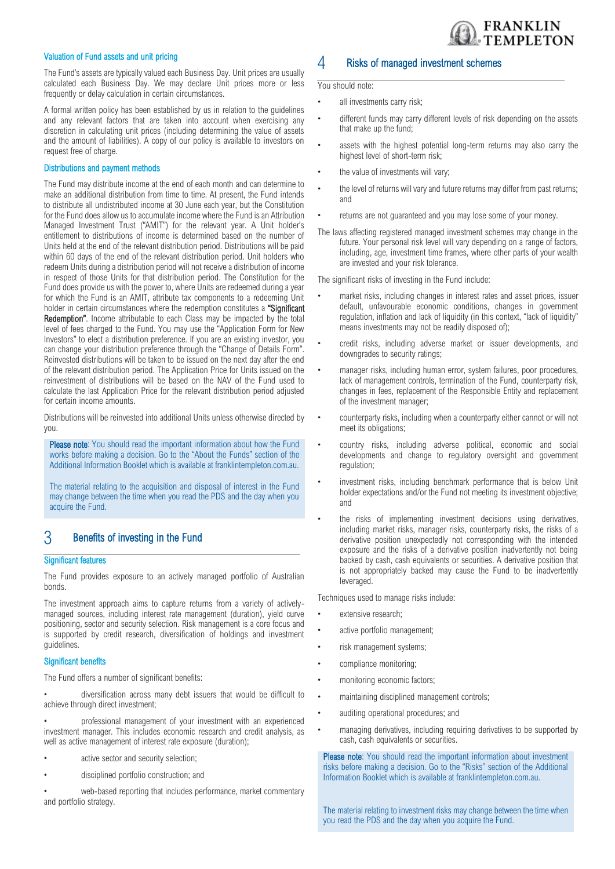

#### Valuation of Fund assets and unit pricing

The Fund's assets are typically valued each Business Day. Unit prices are usually calculated each Business Day. We may declare Unit prices more or less frequently or delay calculation in certain circumstances.

A formal written policy has been established by us in relation to the guidelines and any relevant factors that are taken into account when exercising any discretion in calculating unit prices (including determining the value of assets and the amount of liabilities). A copy of our policy is available to investors on request free of charge.

#### Distributions and payment methods

The Fund may distribute income at the end of each month and can determine to make an additional distribution from time to time. At present, the Fund intends to distribute all undistributed income at 30 June each year, but the Constitution for the Fund does allow us to accumulate income where the Fund is an Attribution Managed Investment Trust ("AMIT") for the relevant year. A Unit holder's entitlement to distributions of income is determined based on the number of Units held at the end of the relevant distribution period. Distributions will be paid within 60 days of the end of the relevant distribution period. Unit holders who redeem Units during a distribution period will not receive a distribution of income in respect of those Units for that distribution period. The Constitution for the Fund does provide us with the power to, where Units are redeemed during a year for which the Fund is an AMIT, attribute tax components to a redeeming Unit holder in certain circumstances where the redemption constitutes a "Significant Redemption". Income attributable to each Class may be impacted by the total level of fees charged to the Fund. You may use the "Application Form for New Investors" to elect a distribution preference. If you are an existing investor, you can change your distribution preference through the "Change of Details Form". Reinvested distributions will be taken to be issued on the next day after the end of the relevant distribution period. The Application Price for Units issued on the reinvestment of distributions will be based on the NAV of the Fund used to calculate the last Application Price for the relevant distribution period adjusted for certain income amounts.

Distributions will be reinvested into additional Units unless otherwise directed by you.

Please note: You should read the important information about how the Fund works before making a decision. Go to the "About the Funds" section of the Additional Information Booklet which is available at franklintempleton.com.au.

The material relating to the acquisition and disposal of interest in the Fund may change between the time when you read the PDS and the day when you acquire the Fund.

## 3 Benefits of investing in the Fund

#### Significant features

The Fund provides exposure to an actively managed portfolio of Australian bonds.

The investment approach aims to capture returns from a variety of activelymanaged sources, including interest rate management (duration), yield curve positioning, sector and security selection. Risk management is a core focus and is supported by credit research, diversification of holdings and investment guidelines.

#### Significant benefits

The Fund offers a number of significant benefits:

• diversification across many debt issuers that would be difficult to achieve through direct investment;

• professional management of your investment with an experienced investment manager. This includes economic research and credit analysis, as well as active management of interest rate exposure (duration);

- active sector and security selection;
- disciplined portfolio construction; and

web-based reporting that includes performance, market commentary and portfolio strategy.

## 4 Risks of managed investment schemes

You should note:

- all investments carry risk;
- different funds may carry different levels of risk depending on the assets that make up the fund;
- assets with the highest potential long-term returns may also carry the highest level of short-term risk;
- the value of investments will vary;
- the level of returns will vary and future returns may differ from past returns; and
- returns are not guaranteed and you may lose some of your money.
- The laws affecting registered managed investment schemes may change in the future. Your personal risk level will vary depending on a range of factors, including, age, investment time frames, where other parts of your wealth are invested and your risk tolerance.

The significant risks of investing in the Fund include:

- market risks, including changes in interest rates and asset prices, issuer default, unfavourable economic conditions, changes in government regulation, inflation and lack of liquidity (in this context, "lack of liquidity" means investments may not be readily disposed of);
- credit risks, including adverse market or issuer developments, and downgrades to security ratings;
- manager risks, including human error, system failures, poor procedures, lack of management controls, termination of the Fund, counterparty risk, changes in fees, replacement of the Responsible Entity and replacement of the investment manager;
- counterparty risks, including when a counterparty either cannot or will not meet its obligations;
- country risks, including adverse political, economic and social developments and change to regulatory oversight and government regulation;
- investment risks, including benchmark performance that is below Unit holder expectations and/or the Fund not meeting its investment objective; and
- the risks of implementing investment decisions using derivatives, including market risks, manager risks, counterparty risks, the risks of a derivative position unexpectedly not corresponding with the intended exposure and the risks of a derivative position inadvertently not being backed by cash, cash equivalents or securities. A derivative position that is not appropriately backed may cause the Fund to be inadvertently leveraged.

Techniques used to manage risks include:

- extensive research;
- active portfolio management;
- risk management systems;
- compliance monitoring;
- monitoring economic factors;
- maintaining disciplined management controls;
- auditing operational procedures; and
- managing derivatives, including requiring derivatives to be supported by cash, cash equivalents or securities.

Please note: You should read the important information about investment risks before making a decision. Go to the "Risks" section of the Additional Information Booklet which is available at franklintempleton.com.au.

The material relating to investment risks may change between the time when you read the PDS and the day when you acquire the Fund.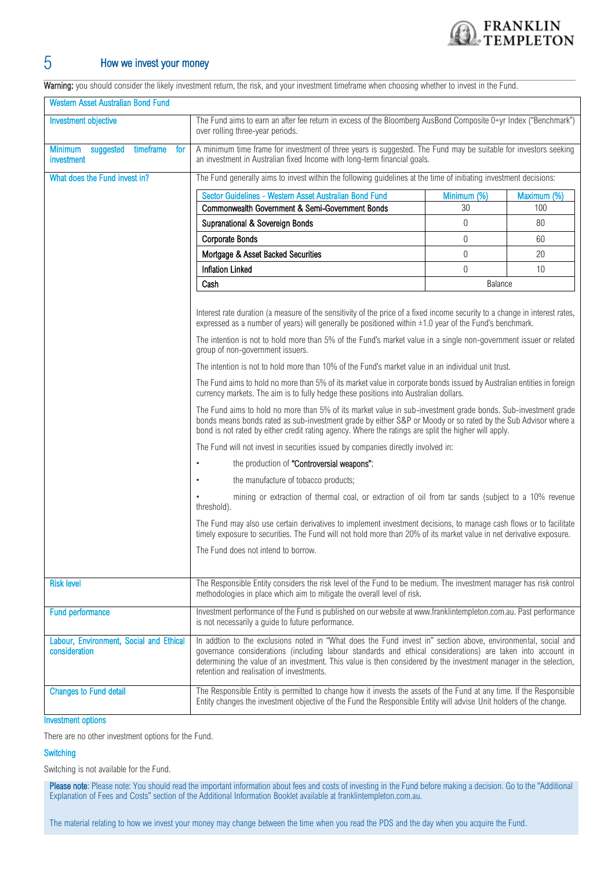

## 5 How we invest your money

Warning: you should consider the likely investment return, the risk, and your investment timeframe when choosing whether to invest in the Fund.

| <b>Western Asset Australian Bond Fund</b>                     |                                                                                                                                                                                                                                                                                                                                                                                                                                                                                                                                                                                                                                                                                                                       |                |             |
|---------------------------------------------------------------|-----------------------------------------------------------------------------------------------------------------------------------------------------------------------------------------------------------------------------------------------------------------------------------------------------------------------------------------------------------------------------------------------------------------------------------------------------------------------------------------------------------------------------------------------------------------------------------------------------------------------------------------------------------------------------------------------------------------------|----------------|-------------|
| <b>Investment objective</b>                                   | The Fund aims to earn an after fee return in excess of the Bloomberg AusBond Composite 0+yr Index ("Benchmark")<br>over rolling three-year periods.                                                                                                                                                                                                                                                                                                                                                                                                                                                                                                                                                                   |                |             |
| timeframe<br><b>Minimum</b><br>suggested<br>for<br>investment | A minimum time frame for investment of three years is suggested. The Fund may be suitable for investors seeking<br>an investment in Australian fixed Income with long-term financial goals.                                                                                                                                                                                                                                                                                                                                                                                                                                                                                                                           |                |             |
| What does the Fund invest in?                                 | The Fund generally aims to invest within the following guidelines at the time of initiating investment decisions:                                                                                                                                                                                                                                                                                                                                                                                                                                                                                                                                                                                                     |                |             |
|                                                               | Sector Guidelines - Western Asset Australian Bond Fund                                                                                                                                                                                                                                                                                                                                                                                                                                                                                                                                                                                                                                                                | Minimum (%)    | Maximum (%) |
|                                                               | Commonwealth Government & Semi-Government Bonds                                                                                                                                                                                                                                                                                                                                                                                                                                                                                                                                                                                                                                                                       | 30             | 100         |
|                                                               | Supranational & Sovereign Bonds                                                                                                                                                                                                                                                                                                                                                                                                                                                                                                                                                                                                                                                                                       | $\overline{0}$ | 80          |
|                                                               | <b>Corporate Bonds</b>                                                                                                                                                                                                                                                                                                                                                                                                                                                                                                                                                                                                                                                                                                | $\overline{0}$ | 60          |
|                                                               | Mortgage & Asset Backed Securities                                                                                                                                                                                                                                                                                                                                                                                                                                                                                                                                                                                                                                                                                    | $\mathbf{0}$   | 20          |
|                                                               | <b>Inflation Linked</b>                                                                                                                                                                                                                                                                                                                                                                                                                                                                                                                                                                                                                                                                                               | $\theta$       | 10          |
|                                                               | Cash                                                                                                                                                                                                                                                                                                                                                                                                                                                                                                                                                                                                                                                                                                                  | Balance        |             |
|                                                               | Interest rate duration (a measure of the sensitivity of the price of a fixed income security to a change in interest rates,<br>expressed as a number of years) will generally be positioned within ±1.0 year of the Fund's benchmark.<br>The intention is not to hold more than 5% of the Fund's market value in a single non-government issuer or related<br>group of non-government issuers.<br>The intention is not to hold more than 10% of the Fund's market value in an individual unit trust.<br>The Fund aims to hold no more than 5% of its market value in corporate bonds issued by Australian entities in foreign<br>currency markets. The aim is to fully hedge these positions into Australian dollars. |                |             |
|                                                               | The Fund aims to hold no more than 5% of its market value in sub-investment grade bonds. Sub-investment grade<br>bonds means bonds rated as sub-investment grade by either S&P or Moody or so rated by the Sub Advisor where a<br>bond is not rated by either credit rating agency. Where the ratings are split the higher will apply.                                                                                                                                                                                                                                                                                                                                                                                |                |             |
|                                                               | The Fund will not invest in securities issued by companies directly involved in:                                                                                                                                                                                                                                                                                                                                                                                                                                                                                                                                                                                                                                      |                |             |
|                                                               | the production of "Controversial weapons";<br>$\bullet$                                                                                                                                                                                                                                                                                                                                                                                                                                                                                                                                                                                                                                                               |                |             |
|                                                               | the manufacture of tobacco products;<br>$\bullet$                                                                                                                                                                                                                                                                                                                                                                                                                                                                                                                                                                                                                                                                     |                |             |
|                                                               | mining or extraction of thermal coal, or extraction of oil from tar sands (subject to a 10% revenue<br>threshold).                                                                                                                                                                                                                                                                                                                                                                                                                                                                                                                                                                                                    |                |             |
|                                                               | The Fund may also use certain derivatives to implement investment decisions, to manage cash flows or to facilitate<br>timely exposure to securities. The Fund will not hold more than 20% of its market value in net derivative exposure.                                                                                                                                                                                                                                                                                                                                                                                                                                                                             |                |             |
|                                                               | The Fund does not intend to borrow.                                                                                                                                                                                                                                                                                                                                                                                                                                                                                                                                                                                                                                                                                   |                |             |
| <b>Risk level</b>                                             | The Responsible Entity considers the risk level of the Fund to be medium. The investment manager has risk control<br>methodologies in place which aim to mitigate the overall level of risk.                                                                                                                                                                                                                                                                                                                                                                                                                                                                                                                          |                |             |
| <b>Fund performance</b>                                       | Investment performance of the Fund is published on our website at www.franklintempleton.com.au. Past performance<br>is not necessarily a guide to future performance.                                                                                                                                                                                                                                                                                                                                                                                                                                                                                                                                                 |                |             |
| Labour, Environment, Social and Ethical<br>consideration      | In addtion to the exclusions noted in "What does the Fund invest in" section above, environmental, social and<br>governance considerations (including labour standards and ethical considerations) are taken into account in<br>determining the value of an investment. This value is then considered by the investment manager in the selection,<br>retention and realisation of investments.                                                                                                                                                                                                                                                                                                                        |                |             |
| <b>Changes to Fund detail</b>                                 | The Responsible Entity is permitted to change how it invests the assets of the Fund at any time. If the Responsible<br>Entity changes the investment objective of the Fund the Responsible Entity will advise Unit holders of the change.                                                                                                                                                                                                                                                                                                                                                                                                                                                                             |                |             |
| <b>Investment options</b>                                     |                                                                                                                                                                                                                                                                                                                                                                                                                                                                                                                                                                                                                                                                                                                       |                |             |

There are no other investment options for the Fund.

#### **Switching**

Switching is not available for the Fund.

Please note: Please note: You should read the important information about fees and costs of investing in the Fund before making a decision. Go to the "Additional Explanation of Fees and Costs" section of the Additional Information Booklet available at franklintempleton.com.au.

The material relating to how we invest your money may change between the time when you read the PDS and the day when you acquire the Fund.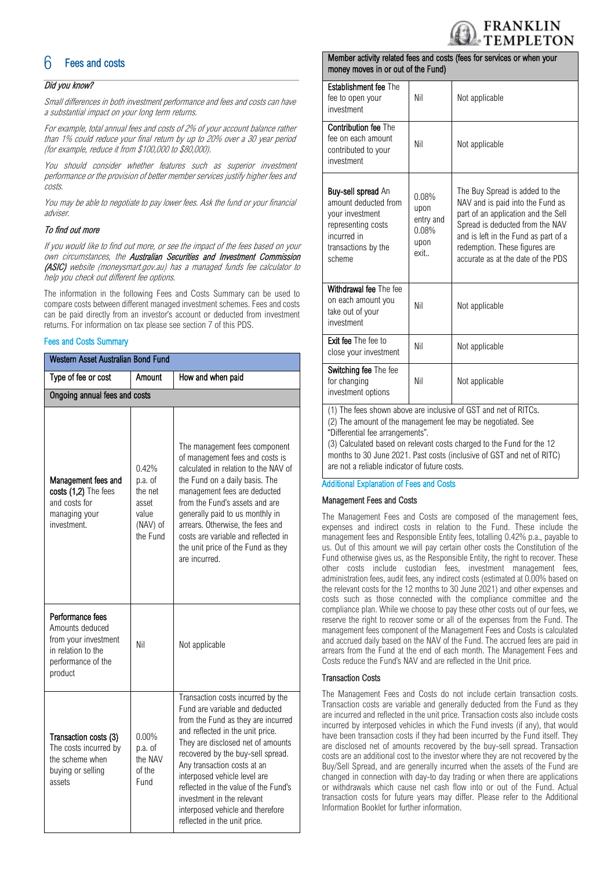

## **Fees and costs**

#### Did you know?

Small differences in both investment performance and fees and costs can have a substantial impact on your long term returns.

For example, total annual fees and costs of 2% of your account balance rather than 1% could reduce your final return by up to 20% over a 30 year period (for example, reduce it from \$100,000 to \$80,000).

You should consider whether features such as superior investment performance or the provision of better member services justify higher fees and costs.

You may be able to negotiate to pay lower fees. Ask the fund or your financial adviser.

#### To find out more

If you would like to find out more, or see the impact of the fees based on your own circumstances, the Australian Securities and Investment Commission (ASIC) website (moneysmart.gov.au) has a managed funds fee calculator to help you check out different fee options.

The information in the following Fees and Costs Summary can be used to compare costs between different managed investment schemes. Fees and costs can be paid directly from an investor's account or deducted from investment returns. For information on tax please see section 7 of this PDS.

#### Fees and Costs Summary

| Western Asset Australian Bond Fund                                                                                 |                                                                       |                                                                                                                                                                                                                                                                                                                                                                                                                                  |
|--------------------------------------------------------------------------------------------------------------------|-----------------------------------------------------------------------|----------------------------------------------------------------------------------------------------------------------------------------------------------------------------------------------------------------------------------------------------------------------------------------------------------------------------------------------------------------------------------------------------------------------------------|
| Type of fee or cost<br>Amount                                                                                      |                                                                       | How and when paid                                                                                                                                                                                                                                                                                                                                                                                                                |
| Ongoing annual fees and costs                                                                                      |                                                                       |                                                                                                                                                                                                                                                                                                                                                                                                                                  |
| Management fees and<br>costs (1,2) The fees<br>and costs for<br>managing your<br>investment.                       | 0.42%<br>p.a. of<br>the net<br>asset<br>value<br>(NAV) of<br>the Fund | The management fees component<br>of management fees and costs is<br>calculated in relation to the NAV of<br>the Fund on a daily basis. The<br>management fees are deducted<br>from the Fund's assets and are<br>generally paid to us monthly in<br>arrears. Otherwise, the fees and<br>costs are variable and reflected in<br>the unit price of the Fund as they<br>are incurred.                                                |
| Performance fees<br>Amounts deduced<br>from your investment<br>in relation to the<br>performance of the<br>product | Nil                                                                   | Not applicable                                                                                                                                                                                                                                                                                                                                                                                                                   |
| Transaction costs (3)<br>The costs incurred by<br>the scheme when<br>buying or selling<br>assets                   | $0.00\%$<br>p.a. of<br>the NAV<br>of the<br>Fund                      | Transaction costs incurred by the<br>Fund are variable and deducted<br>from the Fund as they are incurred<br>and reflected in the unit price.<br>They are disclosed net of amounts<br>recovered by the buy-sell spread.<br>Any transaction costs at an<br>interposed vehicle level are<br>reflected in the value of the Fund's<br>investment in the relevant<br>interposed vehicle and therefore<br>reflected in the unit price. |

#### Member activity related fees and costs (fees for services or when your money moves in or out of the Fund)

| <b>Establishment fee The</b><br>fee to open your<br>investment                                                                             | Nil                                                 | Not applicable                                                                                                                                                                                                                                              |
|--------------------------------------------------------------------------------------------------------------------------------------------|-----------------------------------------------------|-------------------------------------------------------------------------------------------------------------------------------------------------------------------------------------------------------------------------------------------------------------|
| <b>Contribution fee The</b><br>fee on each amount<br>contributed to your<br>investment                                                     | Nil                                                 | Not applicable                                                                                                                                                                                                                                              |
| <b>Buy-sell spread An</b><br>amount deducted from<br>your investment<br>representing costs<br>incurred in<br>transactions by the<br>scheme | 0.08%<br>upon<br>entry and<br>0.08%<br>upon<br>exit | The Buy Spread is added to the<br>NAV and is paid into the Fund as<br>part of an application and the Sell<br>Spread is deducted from the NAV<br>and is left in the Fund as part of a<br>redemption. These figures are<br>accurate as at the date of the PDS |
| Withdrawal fee The fee<br>on each amount you<br>take out of your<br>investment                                                             | Nil                                                 | Not applicable                                                                                                                                                                                                                                              |
| Exit fee The fee to<br>close your investment                                                                                               | Nil                                                 | Not applicable                                                                                                                                                                                                                                              |
| Switching fee The fee<br>for changing<br>investment options                                                                                | Nil                                                 | Not applicable                                                                                                                                                                                                                                              |
| (1) The fees shown above are inclusive of CST and not of PITCs                                                                             |                                                     |                                                                                                                                                                                                                                                             |

(1) The fees shown above are inclusive of GST and net of RITCs.

(2) The amount of the management fee may be negotiated. See "Differential fee arrangements".

(3) Calculated based on relevant costs charged to the Fund for the 12 months to 30 June 2021. Past costs (inclusive of GST and net of RITC) are not a reliable indicator of future costs.

#### Additional Explanation of Fees and Costs

#### Management Fees and Costs

The Management Fees and Costs are composed of the management fees, expenses and indirect costs in relation to the Fund. These include the management fees and Responsible Entity fees, totalling 0.42% p.a., payable to us. Out of this amount we will pay certain other costs the Constitution of the Fund otherwise gives us, as the Responsible Entity, the right to recover. These other costs include custodian fees, investment management fees, administration fees, audit fees, any indirect costs (estimated at 0.00% based on the relevant costs for the 12 months to 30 June 2021) and other expenses and costs such as those connected with the compliance committee and the compliance plan. While we choose to pay these other costs out of our fees, we reserve the right to recover some or all of the expenses from the Fund. The management fees component of the Management Fees and Costs is calculated and accrued daily based on the NAV of the Fund. The accrued fees are paid in arrears from the Fund at the end of each month. The Management Fees and Costs reduce the Fund's NAV and are reflected in the Unit price.

#### Transaction Costs

The Management Fees and Costs do not include certain transaction costs. Transaction costs are variable and generally deducted from the Fund as they are incurred and reflected in the unit price. Transaction costs also include costs incurred by interposed vehicles in which the Fund invests (if any), that would have been transaction costs if they had been incurred by the Fund itself. They are disclosed net of amounts recovered by the buy-sell spread. Transaction costs are an additional cost to the investor where they are not recovered by the Buy/Sell Spread, and are generally incurred when the assets of the Fund are changed in connection with day-to day trading or when there are applications or withdrawals which cause net cash flow into or out of the Fund. Actual transaction costs for future years may differ. Please refer to the Additional Information Booklet for further information.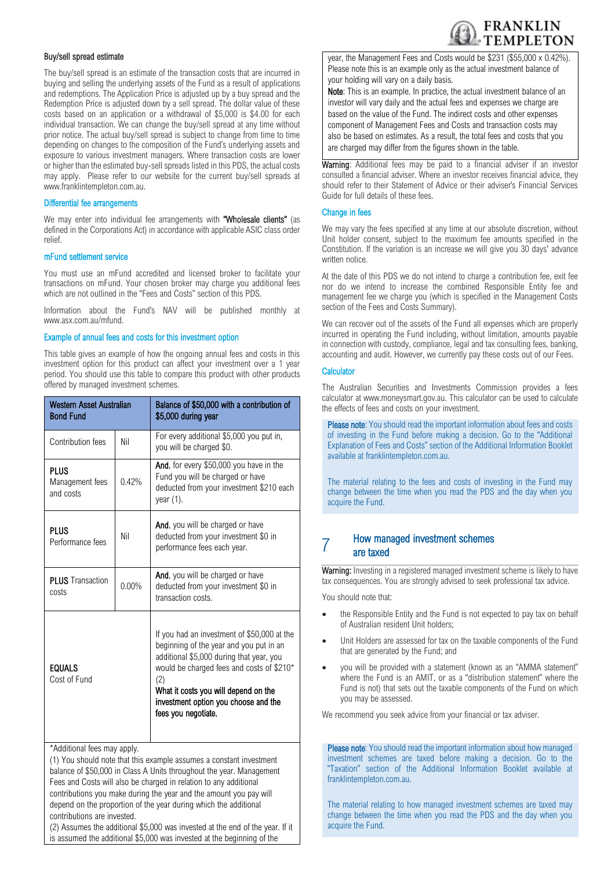

#### Buy/sell spread estimate

The buy/sell spread is an estimate of the transaction costs that are incurred in buying and selling the underlying assets of the Fund as a result of applications and redemptions. The Application Price is adjusted up by a buy spread and the Redemption Price is adjusted down by a sell spread. The dollar value of these costs based on an application or a withdrawal of \$5,000 is \$4.00 for each individual transaction. We can change the buy/sell spread at any time without prior notice. The actual buy/sell spread is subject to change from time to time depending on changes to the composition of the Fund's underlying assets and exposure to various investment managers. Where transaction costs are lower or higher than the estimated buy-sell spreads listed in this PDS, the actual costs may apply. Please refer to our website for the current buy/sell spreads at www.franklintempleton.com.au.

#### Differential fee arrangements

We may enter into individual fee arrangements with "Wholesale clients" (as defined in the Corporations Act) in accordance with applicable ASIC class order relief.

#### mFund settlement service

You must use an mFund accredited and licensed broker to facilitate your transactions on mFund. Your chosen broker may charge you additional fees which are not outlined in the "Fees and Costs" section of this PDS.

Information about the Fund's NAV will be published monthly at www.asx.com.au/mfund.

#### Example of annual fees and costs for this investment option

This table gives an example of how the ongoing annual fees and costs in this investment option for this product can affect your investment over a 1 year period. You should use this table to compare this product with other products offered by managed investment schemes.

| Western Asset Australian<br><b>Bond Fund</b> |          | Balance of \$50,000 with a contribution of<br>\$5,000 during year                                                                                                                                                                                                                             |
|----------------------------------------------|----------|-----------------------------------------------------------------------------------------------------------------------------------------------------------------------------------------------------------------------------------------------------------------------------------------------|
| Contribution fees                            | Nil      | For every additional \$5,000 you put in,<br>you will be charged \$0.                                                                                                                                                                                                                          |
| PLUS<br>Management fees<br>and costs         | 0.42%    | And, for every \$50,000 you have in the<br>Fund you will be charged or have<br>deducted from your investment \$210 each<br>year $(1)$ .                                                                                                                                                       |
| <b>PLUS</b><br>Performance fees              | Nil      | And, you will be charged or have<br>deducted from your investment \$0 in<br>performance fees each year.                                                                                                                                                                                       |
| <b>PLUS</b> Transaction<br>costs             | $0.00\%$ | And, you will be charged or have<br>deducted from your investment \$0 in<br>transaction costs.                                                                                                                                                                                                |
| <b>EQUALS</b><br>Cost of Fund                |          | If you had an investment of \$50,000 at the<br>beginning of the year and you put in an<br>additional \$5,000 during that year, you<br>would be charged fees and costs of \$210*<br>(2)<br>What it costs you will depend on the<br>investment option you choose and the<br>fees you negotiate. |
| *Additional fees may apply.                  |          |                                                                                                                                                                                                                                                                                               |

(1) You should note that this example assumes a constant investment balance of \$50,000 in Class A Units throughout the year. Management Fees and Costs will also be charged in relation to any additional contributions you make during the year and the amount you pay will depend on the proportion of the year during which the additional contributions are invested.

(2) Assumes the additional \$5,000 was invested at the end of the year. If it is assumed the additional \$5,000 was invested at the beginning of the

year, the Management Fees and Costs would be \$231 (\$55,000 x 0.42%). Please note this is an example only as the actual investment balance of your holding will vary on a daily basis.

Note: This is an example. In practice, the actual investment balance of an investor will vary daily and the actual fees and expenses we charge are based on the value of the Fund. The indirect costs and other expenses component of Management Fees and Costs and transaction costs may also be based on estimates. As a result, the total fees and costs that you are charged may differ from the figures shown in the table.

Warning: Additional fees may be paid to a financial adviser if an investor consulted a financial adviser. Where an investor receives financial advice, they should refer to their Statement of Advice or their adviser's Financial Services Guide for full details of these fees.

#### Change in fees

We may vary the fees specified at any time at our absolute discretion, without Unit holder consent, subject to the maximum fee amounts specified in the Constitution. If the variation is an increase we will give you 30 days' advance written notice.

At the date of this PDS we do not intend to charge a contribution fee, exit fee nor do we intend to increase the combined Responsible Entity fee and management fee we charge you (which is specified in the Management Costs section of the Fees and Costs Summary).

We can recover out of the assets of the Fund all expenses which are properly incurred in operating the Fund including, without limitation, amounts payable in connection with custody, compliance, legal and tax consulting fees, banking, accounting and audit. However, we currently pay these costs out of our Fees.

#### **Calculator**

The Australian Securities and Investments Commission provides a fees calculator at www.moneysmart.gov.au. This calculator can be used to calculate the effects of fees and costs on your investment.

Please note: You should read the important information about fees and costs of investing in the Fund before making a decision. Go to the "Additional Explanation of Fees and Costs" section of the Additional Information Booklet available at [franklintempleton.com.au.](http://www.leggmason.com.au/en/index.aspx) 

The material relating to the fees and costs of investing in the Fund may change between the time when you read the PDS and the day when you acquire the Fund.

#### 7 How managed investment schemes are taxed

Warning: Investing in a registered managed investment scheme is likely to have tax consequences. You are strongly advised to seek professional tax advice.

You should note that:

- the Responsible Entity and the Fund is not expected to pay tax on behalf of Australian resident Unit holders;
- Unit Holders are assessed for tax on the taxable components of the Fund that are generated by the Fund; and
- you will be provided with a statement (known as an "AMMA statement" where the Fund is an AMIT, or as a "distribution statement" where the Fund is not) that sets out the taxable components of the Fund on which you may be assessed.

We recommend you seek advice from your financial or tax adviser.

Please note: You should read the important information about how managed investment schemes are taxed before making a decision. Go to the "Taxation" section of the Additional Information Booklet available at [franklintempleton.com.au.](http://www.leggmason.com.au/en/index.aspx)

The material relating to how managed investment schemes are taxed may change between the time when you read the PDS and the day when you acquire the Fund.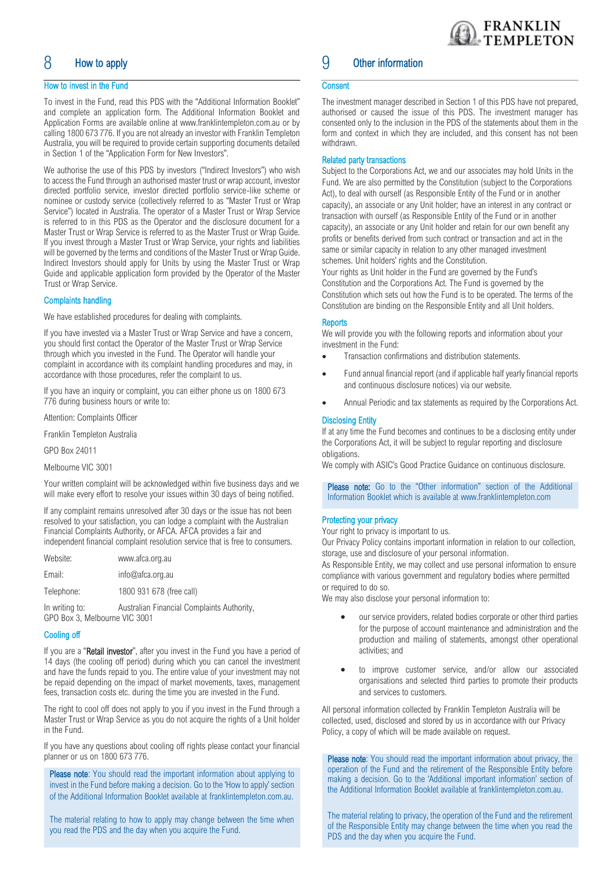## 8 How to apply

#### How to invest in the Fund

To invest in the Fund, read this PDS with the "Additional Information Booklet" and complete an application form. The Additional Information Booklet and Application Forms are available online at www.franklintempleton.com.au or by calling 1800 673 776. If you are not already an investor with Franklin Templeton Australia, you will be required to provide certain supporting documents detailed in Section 1 of the "Application Form for New Investors".

We authorise the use of this PDS by investors ("Indirect Investors") who wish to access the Fund through an authorised master trust or wrap account, investor directed portfolio service, investor directed portfolio service-like scheme or nominee or custody service (collectively referred to as "Master Trust or Wrap Service") located in Australia. The operator of a Master Trust or Wrap Service is referred to in this PDS as the Operator and the disclosure document for a Master Trust or Wrap Service is referred to as the Master Trust or Wrap Guide. If you invest through a Master Trust or Wrap Service, your rights and liabilities will be governed by the terms and conditions of the Master Trust or Wrap Guide. Indirect Investors should apply for Units by using the Master Trust or Wrap Guide and applicable application form provided by the Operator of the Master Trust or Wrap Service.

#### Complaints handling

We have established procedures for dealing with complaints.

If you have invested via a Master Trust or Wrap Service and have a concern, you should first contact the Operator of the Master Trust or Wrap Service through which you invested in the Fund. The Operator will handle your complaint in accordance with its complaint handling procedures and may, in accordance with those procedures, refer the complaint to us.

If you have an inquiry or complaint, you can either phone us on 1800 673 776 during business hours or write to:

Attention: Complaints Officer

Franklin Templeton Australia

GPO Box 24011

Melbourne VIC 3001

Your written complaint will be acknowledged within five business days and we will make every effort to resolve your issues within 30 days of being notified.

If any complaint remains unresolved after 30 days or the issue has not been resolved to your satisfaction, you can lodge a complaint with the Australian Financial Complaints Authority, or AFCA. AFCA provides a fair and independent financial complaint resolution service that is free to consumers.

| Website:   | www.afca.org.au          |
|------------|--------------------------|
| Email:     | info@afca.org.au         |
| Telephone: | 1800 931 678 (free call) |
|            |                          |

In writing to: Australian Financial Complaints Authority, GPO Box 3, Melbourne VIC 3001

#### Cooling off

If you are a "Retail investor", after you invest in the Fund you have a period of 14 days (the cooling off period) during which you can cancel the investment and have the funds repaid to you. The entire value of your investment may not be repaid depending on the impact of market movements, taxes, management fees, transaction costs etc. during the time you are invested in the Fund.

The right to cool off does not apply to you if you invest in the Fund through a Master Trust or Wrap Service as you do not acquire the rights of a Unit holder in the Fund.

If you have any questions about cooling off rights please contact your financial planner or us on 1800 673 776.

Please note: You should read the important information about applying to invest in the Fund before making a decision. Go to the 'How to apply' section of the Additional Information Booklet available a[t franklintempleton.com.au.](http://www.leggmason.com.au/en/index.aspx)

The material relating to how to apply may change between the time when you read the PDS and the day when you acquire the Fund.

## 9 Other information

#### **Consent**

The investment manager described in Section 1 of this PDS have not prepared, authorised or caused the issue of this PDS. The investment manager has consented only to the inclusion in the PDS of the statements about them in the form and context in which they are included, and this consent has not been withdrawn.

#### Related party transactions

Subject to the Corporations Act, we and our associates may hold Units in the Fund. We are also permitted by the Constitution (subject to the Corporations Act), to deal with ourself (as Responsible Entity of the Fund or in another capacity), an associate or any Unit holder; have an interest in any contract or transaction with ourself (as Responsible Entity of the Fund or in another capacity), an associate or any Unit holder and retain for our own benefit any profits or benefits derived from such contract or transaction and act in the same or similar capacity in relation to any other managed investment schemes. Unit holders' rights and the Constitution.

Your rights as Unit holder in the Fund are governed by the Fund's Constitution and the Corporations Act. The Fund is governed by the Constitution which sets out how the Fund is to be operated. The terms of the Constitution are binding on the Responsible Entity and all Unit holders.

#### **Reports**

We will provide you with the following reports and information about your investment in the Fund:

- Transaction confirmations and distribution statements.
- Fund annual financial report (and if applicable half yearly financial reports and continuous disclosure notices) via our website.
- Annual Periodic and tax statements as required by the Corporations Act.

#### Disclosing Entity

If at any time the Fund becomes and continues to be a disclosing entity under the Corporations Act, it will be subject to regular reporting and disclosure obligations.

We comply with ASIC's Good Practice Guidance on continuous disclosure.

Please note: Go to the "Other information" section of the Additional Information Booklet which is available at www.franklintempleton.com

#### Protecting your privacy

Your right to privacy is important to us.

Our Privacy Policy contains important information in relation to our collection, storage, use and disclosure of your personal information.

As Responsible Entity, we may collect and use personal information to ensure compliance with various government and regulatory bodies where permitted or required to do so.

We may also disclose your personal information to:

- our service providers, related bodies corporate or other third parties for the purpose of account maintenance and administration and the production and mailing of statements, amongst other operational activities; and
- to improve customer service, and/or allow our associated organisations and selected third parties to promote their products and services to customers.

All personal information collected by Franklin Templeton Australia will be collected, used, disclosed and stored by us in accordance with our Privacy Policy, a copy of which will be made available on request.

Please note: You should read the important information about privacy, the operation of the Fund and the retirement of the Responsible Entity before making a decision. Go to the 'Additional important information' section of the Additional Information Booklet available a[t franklintempleton.com.au.](http://www.leggmason.com.au/en/index.aspx)

The material relating to privacy, the operation of the Fund and the retirement of the Responsible Entity may change between the time when you read the PDS and the day when you acquire the Fund.